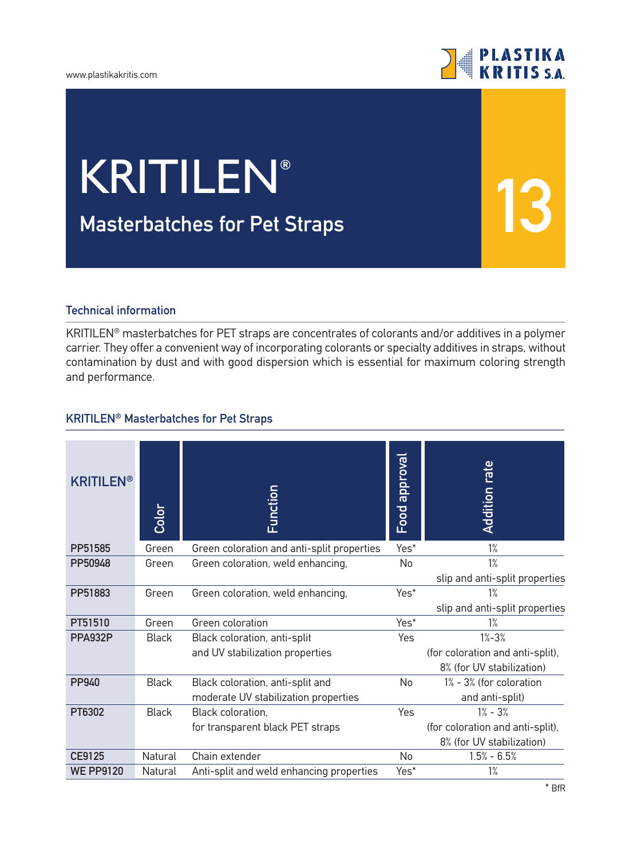#### www.plastikakritis.com



**13**

# **Μasterbatches for Pet Straps** KRITILEN**®**

## **Technical information**

KRITILEN® masterbatches for PET straps are concentrates of colorants and/or additives in a polymer carrier. They offer a convenient way of incorporating colorants or specialty additives in straps, without contamination by dust and with good dispersion which is essential for maximum coloring strength and performance.

### **KRITILEN® Masterbatches for Pet Straps**

| <b>KRITILEN®</b> | Color        | Function                                   | <b>Food approval</b> | <b>Addition rate</b>             |
|------------------|--------------|--------------------------------------------|----------------------|----------------------------------|
| PP51585          | Green        | Green coloration and anti-split properties | Yes*                 | 1%                               |
| PP50948          | Green        | Green coloration, weld enhancing,          | No                   | 1%                               |
|                  |              |                                            |                      | slip and anti-split properties   |
| PP51883          | Green        | Green coloration, weld enhancing,          | Yes*                 | $1\%$                            |
|                  |              |                                            |                      | slip and anti-split properties   |
| PT51510          | Green        | Green coloration                           | Yes*                 | 1%                               |
| PPA932P          | <b>Black</b> | Black coloration, anti-split               | Yes                  | $1% - 3%$                        |
|                  |              | and UV stabilization properties            |                      | (for coloration and anti-split), |
|                  |              |                                            |                      | 8% (for UV stabilization)        |
| PP940            | <b>Black</b> | Black coloration, anti-split and           | No                   | 1% - 3% (for coloration          |
|                  |              | moderate UV stabilization properties       |                      | and anti-split)                  |
| PT6302           | <b>Black</b> | Black coloration,                          | Yes                  | $1% - 3%$                        |
|                  |              | for transparent black PET straps           |                      | (for coloration and anti-split), |
|                  |              |                                            |                      | 8% (for UV stabilization)        |
| <b>CE9125</b>    | Natural      | Chain extender                             | No                   | $1.5% - 6.5%$                    |
| <b>WE PP9120</b> | Natural      | Anti-split and weld enhancing properties   | Yes*                 | $1\%$                            |